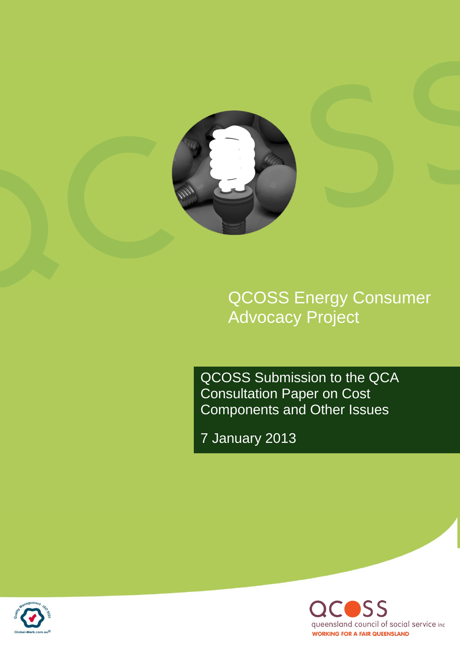

QCOSS Energy Consumer Advocacy Project

QCOSS Submission to the QCA Consultation Paper on Cost Components and Other Issues

7 January 2013



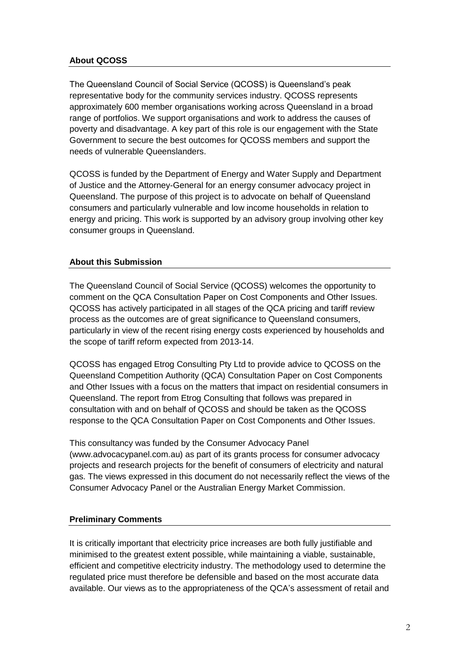# **About QCOSS**

The Queensland Council of Social Service (QCOSS) is Queensland's peak representative body for the community services industry. QCOSS represents approximately 600 member organisations working across Queensland in a broad range of portfolios. We support organisations and work to address the causes of poverty and disadvantage. A key part of this role is our engagement with the State Government to secure the best outcomes for QCOSS members and support the needs of vulnerable Queenslanders.

QCOSS is funded by the Department of Energy and Water Supply and Department of Justice and the Attorney-General for an energy consumer advocacy project in Queensland. The purpose of this project is to advocate on behalf of Queensland consumers and particularly vulnerable and low income households in relation to energy and pricing. This work is supported by an advisory group involving other key consumer groups in Queensland.

# **About this Submission**

The Queensland Council of Social Service (QCOSS) welcomes the opportunity to comment on the QCA Consultation Paper on Cost Components and Other Issues. QCOSS has actively participated in all stages of the QCA pricing and tariff review process as the outcomes are of great significance to Queensland consumers, particularly in view of the recent rising energy costs experienced by households and the scope of tariff reform expected from 2013-14.

QCOSS has engaged Etrog Consulting Pty Ltd to provide advice to QCOSS on the Queensland Competition Authority (QCA) Consultation Paper on Cost Components and Other Issues with a focus on the matters that impact on residential consumers in Queensland. The report from Etrog Consulting that follows was prepared in consultation with and on behalf of QCOSS and should be taken as the QCOSS response to the QCA Consultation Paper on Cost Components and Other Issues.

This consultancy was funded by the Consumer Advocacy Panel (www.advocacypanel.com.au) as part of its grants process for consumer advocacy projects and research projects for the benefit of consumers of electricity and natural gas. The views expressed in this document do not necessarily reflect the views of the Consumer Advocacy Panel or the Australian Energy Market Commission.

# **Preliminary Comments**

It is critically important that electricity price increases are both fully justifiable and minimised to the greatest extent possible, while maintaining a viable, sustainable, efficient and competitive electricity industry. The methodology used to determine the regulated price must therefore be defensible and based on the most accurate data available. Our views as to the appropriateness of the QCA's assessment of retail and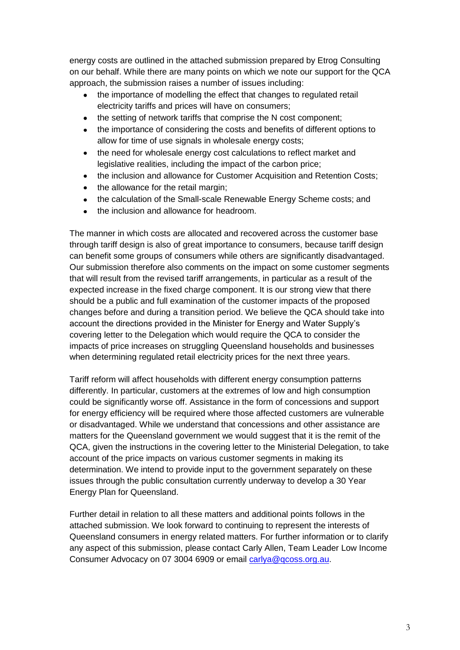energy costs are outlined in the attached submission prepared by Etrog Consulting on our behalf. While there are many points on which we note our support for the QCA approach, the submission raises a number of issues including:

- the importance of modelling the effect that changes to regulated retail electricity tariffs and prices will have on consumers;
- $\bullet$ the setting of network tariffs that comprise the N cost component;
- the importance of considering the costs and benefits of different options to allow for time of use signals in wholesale energy costs;
- the need for wholesale energy cost calculations to reflect market and  $\bullet$ legislative realities, including the impact of the carbon price;
- $\bullet$ the inclusion and allowance for Customer Acquisition and Retention Costs;
- the allowance for the retail margin;  $\bullet$
- the calculation of the Small-scale Renewable Energy Scheme costs; and
- the inclusion and allowance for headroom.  $\bullet$

The manner in which costs are allocated and recovered across the customer base through tariff design is also of great importance to consumers, because tariff design can benefit some groups of consumers while others are significantly disadvantaged. Our submission therefore also comments on the impact on some customer segments that will result from the revised tariff arrangements, in particular as a result of the expected increase in the fixed charge component. It is our strong view that there should be a public and full examination of the customer impacts of the proposed changes before and during a transition period. We believe the QCA should take into account the directions provided in the Minister for Energy and Water Supply's covering letter to the Delegation which would require the QCA to consider the impacts of price increases on struggling Queensland households and businesses when determining regulated retail electricity prices for the next three years.

Tariff reform will affect households with different energy consumption patterns differently. In particular, customers at the extremes of low and high consumption could be significantly worse off. Assistance in the form of concessions and support for energy efficiency will be required where those affected customers are vulnerable or disadvantaged. While we understand that concessions and other assistance are matters for the Queensland government we would suggest that it is the remit of the QCA, given the instructions in the covering letter to the Ministerial Delegation, to take account of the price impacts on various customer segments in making its determination. We intend to provide input to the government separately on these issues through the public consultation currently underway to develop a 30 Year Energy Plan for Queensland.

Further detail in relation to all these matters and additional points follows in the attached submission. We look forward to continuing to represent the interests of Queensland consumers in energy related matters. For further information or to clarify any aspect of this submission, please contact Carly Allen, Team Leader Low Income Consumer Advocacy on 07 3004 6909 or email [carlya@qcoss.org.au.](mailto:carlya@qcoss.org.au)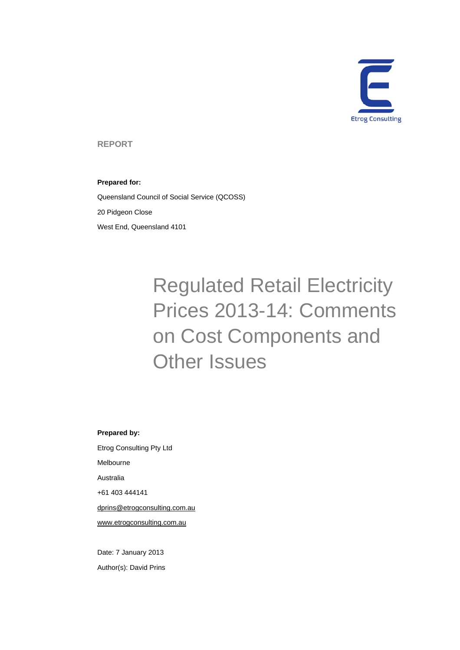

**REPORT** 

#### **Prepared for:**

Queensland Council of Social Service (QCOSS) 20 Pidgeon Close West End, Queensland 4101

# Regulated Retail Electricity Prices 2013-14: Comments on Cost Components and Other Issues

**Prepared by:**  Etrog Consulting Pty Ltd Melbourne Australia +61 403 444141 dprins@etrogconsulting.com.au

www.etrogconsulting.com.au

Date: 7 January 2013 Author(s): David Prins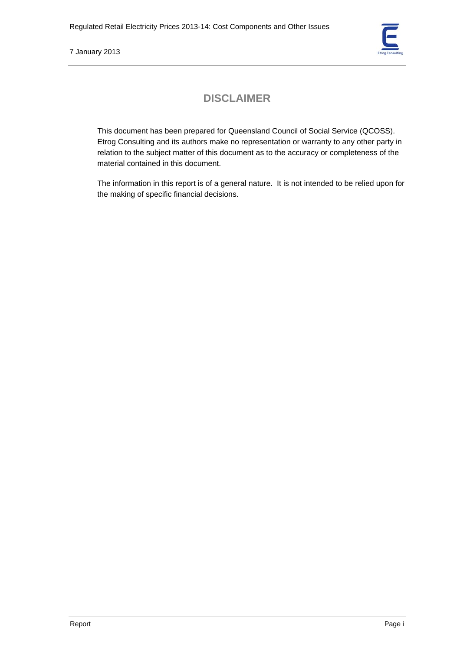

# **DISCLAIMER**

This document has been prepared for Queensland Council of Social Service (QCOSS). Etrog Consulting and its authors make no representation or warranty to any other party in relation to the subject matter of this document as to the accuracy or completeness of the material contained in this document.

The information in this report is of a general nature. It is not intended to be relied upon for the making of specific financial decisions.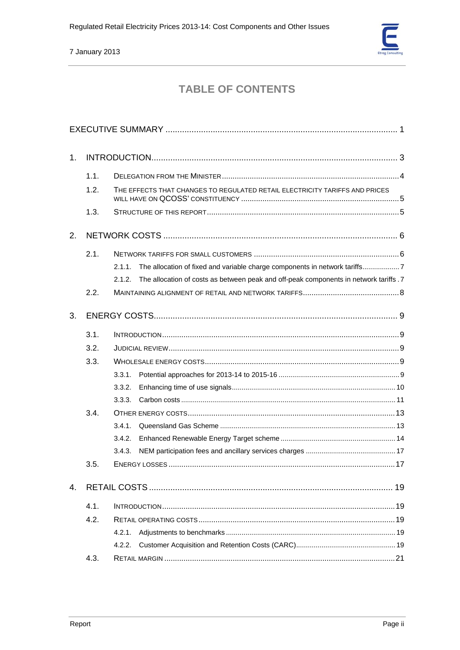

# **TABLE OF CONTENTS**

| 1. |      |                                                                                                 |  |  |
|----|------|-------------------------------------------------------------------------------------------------|--|--|
|    | 1.1. |                                                                                                 |  |  |
|    | 1.2. | THE EFFECTS THAT CHANGES TO REGULATED RETAIL ELECTRICITY TARIFFS AND PRICES                     |  |  |
|    | 1.3. |                                                                                                 |  |  |
| 2. |      |                                                                                                 |  |  |
|    | 2.1. |                                                                                                 |  |  |
|    |      | The allocation of fixed and variable charge components in network tariffs7<br>2.1.1.            |  |  |
|    |      | The allocation of costs as between peak and off-peak components in network tariffs .7<br>2.1.2. |  |  |
|    | 2.2. |                                                                                                 |  |  |
| 3. |      |                                                                                                 |  |  |
|    | 3.1. |                                                                                                 |  |  |
|    | 3.2. |                                                                                                 |  |  |
|    | 3.3. |                                                                                                 |  |  |
|    |      | 3.3.1.                                                                                          |  |  |
|    |      | 3.3.2.                                                                                          |  |  |
|    |      | 3.3.3.                                                                                          |  |  |
|    | 3.4. |                                                                                                 |  |  |
|    |      | 3.4.1.                                                                                          |  |  |
|    |      | 3.4.2.                                                                                          |  |  |
|    |      | 3.4.3.                                                                                          |  |  |
|    | 3.5. |                                                                                                 |  |  |
| 4. |      | 19                                                                                              |  |  |
|    | 4.1. |                                                                                                 |  |  |
|    | 4.2. |                                                                                                 |  |  |
|    |      | 4.2.1.                                                                                          |  |  |
|    |      | 4.2.2.                                                                                          |  |  |
|    | 4.3. |                                                                                                 |  |  |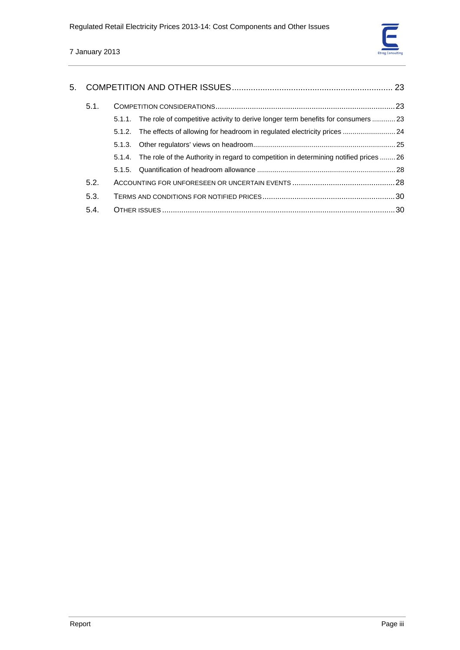

| 5.1. |  |                                                                                             |  |  |
|------|--|---------------------------------------------------------------------------------------------|--|--|
|      |  | 5.1.1. The role of competitive activity to derive longer term benefits for consumers 23     |  |  |
|      |  | 5.1.2. The effects of allowing for headroom in regulated electricity prices  24             |  |  |
|      |  |                                                                                             |  |  |
|      |  | 5.1.4. The role of the Authority in regard to competition in determining notified prices 26 |  |  |
|      |  |                                                                                             |  |  |
| 5.2. |  |                                                                                             |  |  |
| 5.3. |  |                                                                                             |  |  |
| 5.4. |  |                                                                                             |  |  |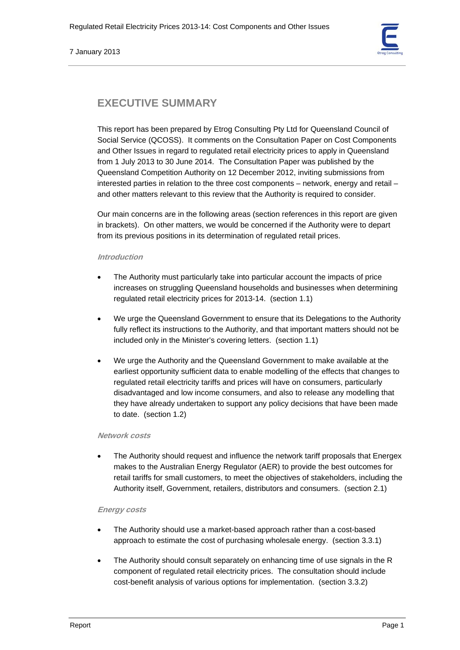# **EXECUTIVE SUMMARY**

This report has been prepared by Etrog Consulting Pty Ltd for Queensland Council of Social Service (QCOSS). It comments on the Consultation Paper on Cost Components and Other Issues in regard to regulated retail electricity prices to apply in Queensland from 1 July 2013 to 30 June 2014. The Consultation Paper was published by the Queensland Competition Authority on 12 December 2012, inviting submissions from interested parties in relation to the three cost components – network, energy and retail – and other matters relevant to this review that the Authority is required to consider.

Our main concerns are in the following areas (section references in this report are given in brackets). On other matters, we would be concerned if the Authority were to depart from its previous positions in its determination of regulated retail prices.

# **Introduction**

- The Authority must particularly take into particular account the impacts of price increases on struggling Queensland households and businesses when determining regulated retail electricity prices for 2013-14. (section 1.1)
- We urge the Queensland Government to ensure that its Delegations to the Authority fully reflect its instructions to the Authority, and that important matters should not be included only in the Minister's covering letters. (section 1.1)
- We urge the Authority and the Queensland Government to make available at the earliest opportunity sufficient data to enable modelling of the effects that changes to regulated retail electricity tariffs and prices will have on consumers, particularly disadvantaged and low income consumers, and also to release any modelling that they have already undertaken to support any policy decisions that have been made to date. (section 1.2)

# **Network costs**

• The Authority should request and influence the network tariff proposals that Energex makes to the Australian Energy Regulator (AER) to provide the best outcomes for retail tariffs for small customers, to meet the objectives of stakeholders, including the Authority itself, Government, retailers, distributors and consumers. (section 2.1)

# **Energy costs**

- The Authority should use a market-based approach rather than a cost-based approach to estimate the cost of purchasing wholesale energy. (section 3.3.1)
- The Authority should consult separately on enhancing time of use signals in the R component of regulated retail electricity prices. The consultation should include cost-benefit analysis of various options for implementation. (section 3.3.2)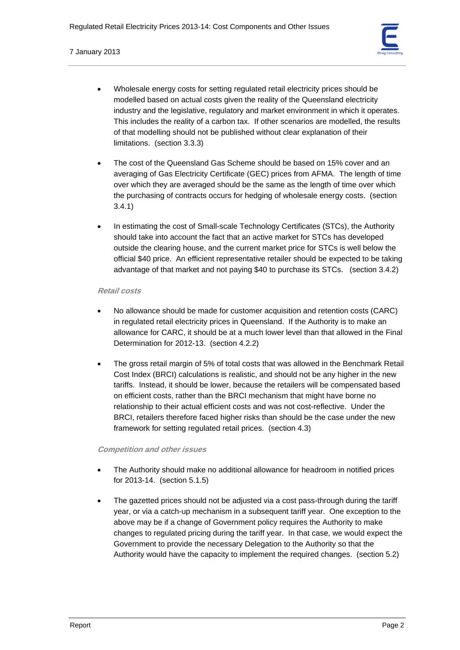

- Wholesale energy costs for setting regulated retail electricity prices should be modelled based on actual costs given the reality of the Queensland electricity industry and the legislative, regulatory and market environment in which it operates. This includes the reality of a carbon tax. If other scenarios are modelled, the results of that modelling should not be published without clear explanation of their limitations. (section 3.3.3)
- The cost of the Queensland Gas Scheme should be based on 15% cover and an averaging of Gas Electricity Certificate (GEC) prices from AFMA. The length of time over which they are averaged should be the same as the length of time over which the purchasing of contracts occurs for hedging of wholesale energy costs. (section 3.4.1)
- In estimating the cost of Small-scale Technology Certificates (STCs), the Authority should take into account the fact that an active market for STCs has developed outside the clearing house, and the current market price for STCs is well below the official \$40 price. An efficient representative retailer should be expected to be taking advantage of that market and not paying \$40 to purchase its STCs. (section 3.4.2)

# **Retail costs**

- No allowance should be made for customer acquisition and retention costs (CARC) in regulated retail electricity prices in Queensland. If the Authority is to make an allowance for CARC, it should be at a much lower level than that allowed in the Final Determination for 2012-13. (section 4.2.2)
- The gross retail margin of 5% of total costs that was allowed in the Benchmark Retail Cost Index (BRCI) calculations is realistic, and should not be any higher in the new tariffs. Instead, it should be lower, because the retailers will be compensated based on efficient costs, rather than the BRCI mechanism that might have borne no relationship to their actual efficient costs and was not cost-reflective. Under the BRCI, retailers therefore faced higher risks than should be the case under the new framework for setting regulated retail prices. (section 4.3)

# **Competition and other issues**

- The Authority should make no additional allowance for headroom in notified prices for 2013-14. (section 5.1.5)
- The gazetted prices should not be adjusted via a cost pass-through during the tariff year, or via a catch-up mechanism in a subsequent tariff year. One exception to the above may be if a change of Government policy requires the Authority to make changes to regulated pricing during the tariff year. In that case, we would expect the Government to provide the necessary Delegation to the Authority so that the Authority would have the capacity to implement the required changes. (section 5.2)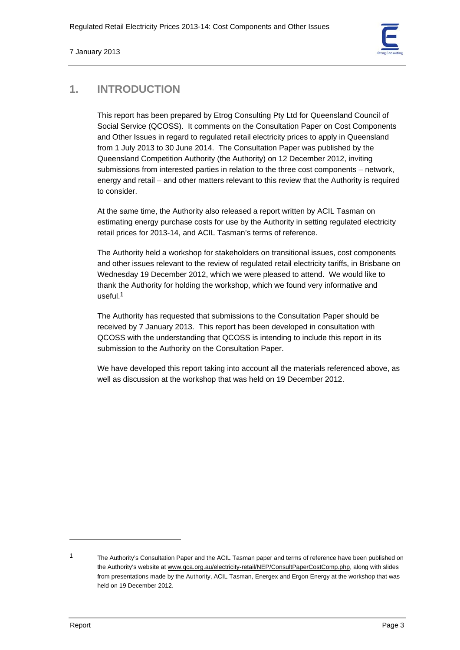# **1. INTRODUCTION**

This report has been prepared by Etrog Consulting Pty Ltd for Queensland Council of Social Service (QCOSS). It comments on the Consultation Paper on Cost Components and Other Issues in regard to regulated retail electricity prices to apply in Queensland from 1 July 2013 to 30 June 2014. The Consultation Paper was published by the Queensland Competition Authority (the Authority) on 12 December 2012, inviting submissions from interested parties in relation to the three cost components – network, energy and retail – and other matters relevant to this review that the Authority is required to consider.

At the same time, the Authority also released a report written by ACIL Tasman on estimating energy purchase costs for use by the Authority in setting regulated electricity retail prices for 2013-14, and ACIL Tasman's terms of reference.

The Authority held a workshop for stakeholders on transitional issues, cost components and other issues relevant to the review of regulated retail electricity tariffs, in Brisbane on Wednesday 19 December 2012, which we were pleased to attend. We would like to thank the Authority for holding the workshop, which we found very informative and useful.1

The Authority has requested that submissions to the Consultation Paper should be received by 7 January 2013. This report has been developed in consultation with QCOSS with the understanding that QCOSS is intending to include this report in its submission to the Authority on the Consultation Paper.

We have developed this report taking into account all the materials referenced above, as well as discussion at the workshop that was held on 19 December 2012.

<sup>1</sup> The Authority's Consultation Paper and the ACIL Tasman paper and terms of reference have been published on the Authority's website at www.qca.org.au/electricity-retail/NEP/ConsultPaperCostComp.php, along with slides from presentations made by the Authority, ACIL Tasman, Energex and Ergon Energy at the workshop that was held on 19 December 2012.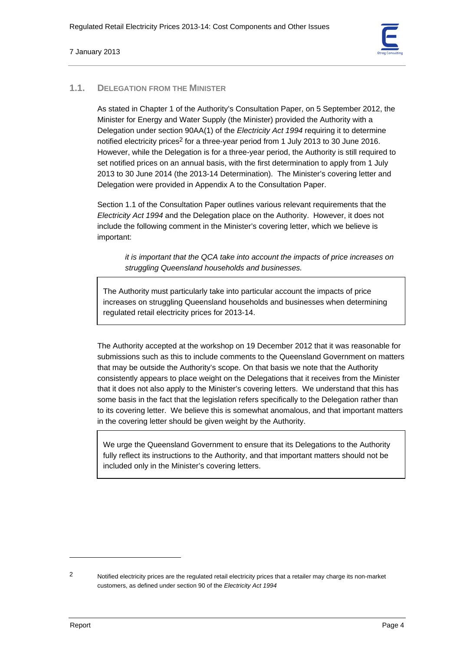

# **1.1. DELEGATION FROM THE MINISTER**

As stated in Chapter 1 of the Authority's Consultation Paper, on 5 September 2012, the Minister for Energy and Water Supply (the Minister) provided the Authority with a Delegation under section 90AA(1) of the *Electricity Act 1994* requiring it to determine notified electricity prices<sup>2</sup> for a three-year period from 1 July 2013 to 30 June 2016. However, while the Delegation is for a three-year period, the Authority is still required to set notified prices on an annual basis, with the first determination to apply from 1 July 2013 to 30 June 2014 (the 2013-14 Determination). The Minister's covering letter and Delegation were provided in Appendix A to the Consultation Paper.

Section 1.1 of the Consultation Paper outlines various relevant requirements that the *Electricity Act 1994* and the Delegation place on the Authority. However, it does not include the following comment in the Minister's covering letter, which we believe is important:

*it is important that the QCA take into account the impacts of price increases on struggling Queensland households and businesses.* 

The Authority must particularly take into particular account the impacts of price increases on struggling Queensland households and businesses when determining regulated retail electricity prices for 2013-14.

The Authority accepted at the workshop on 19 December 2012 that it was reasonable for submissions such as this to include comments to the Queensland Government on matters that may be outside the Authority's scope. On that basis we note that the Authority consistently appears to place weight on the Delegations that it receives from the Minister that it does not also apply to the Minister's covering letters. We understand that this has some basis in the fact that the legislation refers specifically to the Delegation rather than to its covering letter. We believe this is somewhat anomalous, and that important matters in the covering letter should be given weight by the Authority.

We urge the Queensland Government to ensure that its Delegations to the Authority fully reflect its instructions to the Authority, and that important matters should not be included only in the Minister's covering letters.

<sup>2</sup> Notified electricity prices are the regulated retail electricity prices that a retailer may charge its non-market customers, as defined under section 90 of the *Electricity Act 1994*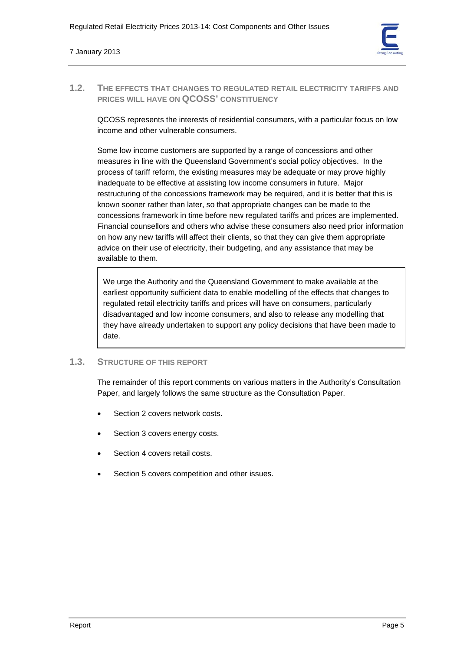

# **1.2. THE EFFECTS THAT CHANGES TO REGULATED RETAIL ELECTRICITY TARIFFS AND PRICES WILL HAVE ON QCOSS' CONSTITUENCY**

QCOSS represents the interests of residential consumers, with a particular focus on low income and other vulnerable consumers.

Some low income customers are supported by a range of concessions and other measures in line with the Queensland Government's social policy objectives. In the process of tariff reform, the existing measures may be adequate or may prove highly inadequate to be effective at assisting low income consumers in future. Major restructuring of the concessions framework may be required, and it is better that this is known sooner rather than later, so that appropriate changes can be made to the concessions framework in time before new regulated tariffs and prices are implemented. Financial counsellors and others who advise these consumers also need prior information on how any new tariffs will affect their clients, so that they can give them appropriate advice on their use of electricity, their budgeting, and any assistance that may be available to them.

We urge the Authority and the Queensland Government to make available at the earliest opportunity sufficient data to enable modelling of the effects that changes to regulated retail electricity tariffs and prices will have on consumers, particularly disadvantaged and low income consumers, and also to release any modelling that they have already undertaken to support any policy decisions that have been made to date.

# **1.3. STRUCTURE OF THIS REPORT**

The remainder of this report comments on various matters in the Authority's Consultation Paper, and largely follows the same structure as the Consultation Paper.

- Section 2 covers network costs.
- Section 3 covers energy costs.
- Section 4 covers retail costs.
- Section 5 covers competition and other issues.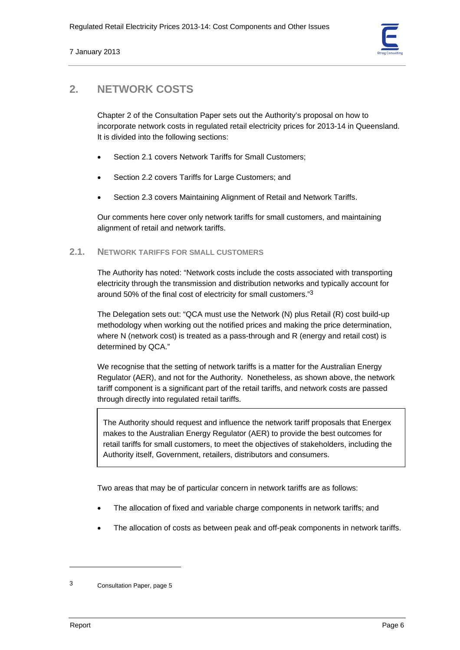

# **2. NETWORK COSTS**

Chapter 2 of the Consultation Paper sets out the Authority's proposal on how to incorporate network costs in regulated retail electricity prices for 2013-14 in Queensland. It is divided into the following sections:

- Section 2.1 covers Network Tariffs for Small Customers;
- Section 2.2 covers Tariffs for Large Customers; and
- Section 2.3 covers Maintaining Alignment of Retail and Network Tariffs.

Our comments here cover only network tariffs for small customers, and maintaining alignment of retail and network tariffs.

# **2.1. NETWORK TARIFFS FOR SMALL CUSTOMERS**

The Authority has noted: "Network costs include the costs associated with transporting electricity through the transmission and distribution networks and typically account for around 50% of the final cost of electricity for small customers."3

The Delegation sets out: "QCA must use the Network (N) plus Retail (R) cost build-up methodology when working out the notified prices and making the price determination, where N (network cost) is treated as a pass-through and R (energy and retail cost) is determined by QCA."

We recognise that the setting of network tariffs is a matter for the Australian Energy Regulator (AER), and not for the Authority. Nonetheless, as shown above, the network tariff component is a significant part of the retail tariffs, and network costs are passed through directly into regulated retail tariffs.

The Authority should request and influence the network tariff proposals that Energex makes to the Australian Energy Regulator (AER) to provide the best outcomes for retail tariffs for small customers, to meet the objectives of stakeholders, including the Authority itself, Government, retailers, distributors and consumers.

Two areas that may be of particular concern in network tariffs are as follows:

- The allocation of fixed and variable charge components in network tariffs; and
- The allocation of costs as between peak and off-peak components in network tariffs.

<sup>3</sup> Consultation Paper, page 5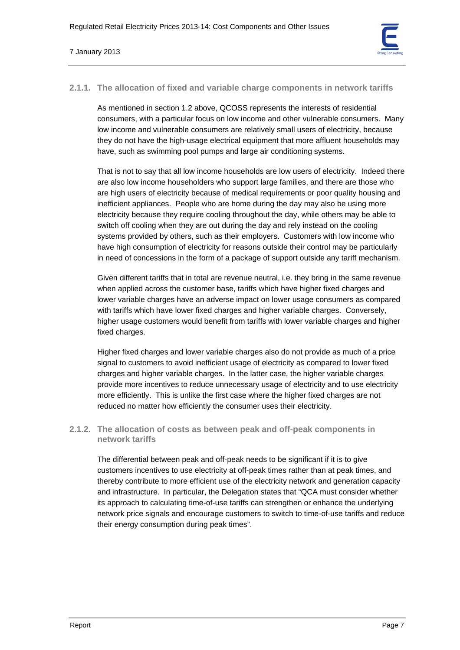

# **2.1.1. The allocation of fixed and variable charge components in network tariffs**

As mentioned in section 1.2 above, QCOSS represents the interests of residential consumers, with a particular focus on low income and other vulnerable consumers. Many low income and vulnerable consumers are relatively small users of electricity, because they do not have the high-usage electrical equipment that more affluent households may have, such as swimming pool pumps and large air conditioning systems.

That is not to say that all low income households are low users of electricity. Indeed there are also low income householders who support large families, and there are those who are high users of electricity because of medical requirements or poor quality housing and inefficient appliances. People who are home during the day may also be using more electricity because they require cooling throughout the day, while others may be able to switch off cooling when they are out during the day and rely instead on the cooling systems provided by others, such as their employers. Customers with low income who have high consumption of electricity for reasons outside their control may be particularly in need of concessions in the form of a package of support outside any tariff mechanism.

Given different tariffs that in total are revenue neutral, i.e. they bring in the same revenue when applied across the customer base, tariffs which have higher fixed charges and lower variable charges have an adverse impact on lower usage consumers as compared with tariffs which have lower fixed charges and higher variable charges. Conversely, higher usage customers would benefit from tariffs with lower variable charges and higher fixed charges.

Higher fixed charges and lower variable charges also do not provide as much of a price signal to customers to avoid inefficient usage of electricity as compared to lower fixed charges and higher variable charges. In the latter case, the higher variable charges provide more incentives to reduce unnecessary usage of electricity and to use electricity more efficiently. This is unlike the first case where the higher fixed charges are not reduced no matter how efficiently the consumer uses their electricity.

# **2.1.2. The allocation of costs as between peak and off-peak components in network tariffs**

The differential between peak and off-peak needs to be significant if it is to give customers incentives to use electricity at off-peak times rather than at peak times, and thereby contribute to more efficient use of the electricity network and generation capacity and infrastructure. In particular, the Delegation states that "QCA must consider whether its approach to calculating time-of-use tariffs can strengthen or enhance the underlying network price signals and encourage customers to switch to time-of-use tariffs and reduce their energy consumption during peak times".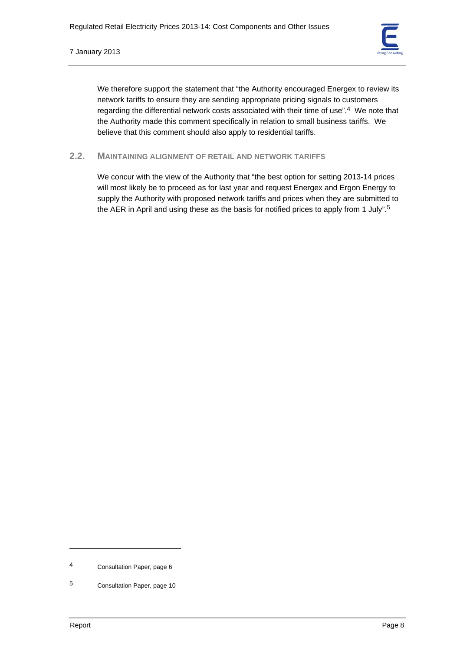

We therefore support the statement that "the Authority encouraged Energex to review its network tariffs to ensure they are sending appropriate pricing signals to customers regarding the differential network costs associated with their time of use".<sup>4</sup> We note that the Authority made this comment specifically in relation to small business tariffs. We believe that this comment should also apply to residential tariffs.

# **2.2. MAINTAINING ALIGNMENT OF RETAIL AND NETWORK TARIFFS**

We concur with the view of the Authority that "the best option for setting 2013-14 prices will most likely be to proceed as for last year and request Energex and Ergon Energy to supply the Authority with proposed network tariffs and prices when they are submitted to the AER in April and using these as the basis for notified prices to apply from 1 July".5

<sup>4</sup> Consultation Paper, page 6

<sup>5</sup> Consultation Paper, page 10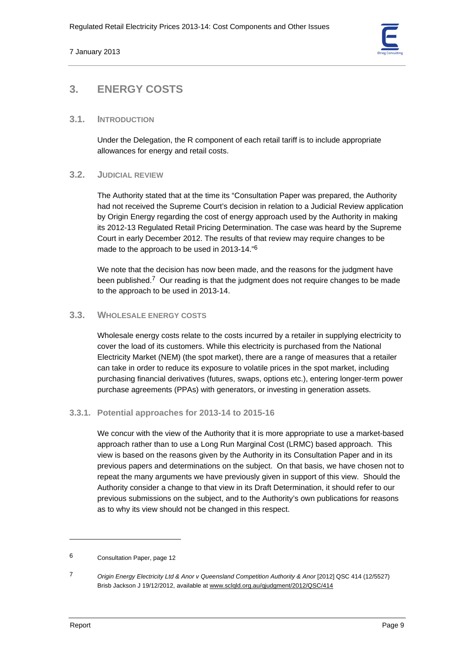

# **3. ENERGY COSTS**

# **3.1. INTRODUCTION**

Under the Delegation, the R component of each retail tariff is to include appropriate allowances for energy and retail costs.

# **3.2. JUDICIAL REVIEW**

The Authority stated that at the time its "Consultation Paper was prepared, the Authority had not received the Supreme Court's decision in relation to a Judicial Review application by Origin Energy regarding the cost of energy approach used by the Authority in making its 2012-13 Regulated Retail Pricing Determination. The case was heard by the Supreme Court in early December 2012. The results of that review may require changes to be made to the approach to be used in 2013-14."6

We note that the decision has now been made, and the reasons for the judgment have been published.<sup>7</sup> Our reading is that the judgment does not require changes to be made to the approach to be used in 2013-14.

# **3.3. WHOLESALE ENERGY COSTS**

Wholesale energy costs relate to the costs incurred by a retailer in supplying electricity to cover the load of its customers. While this electricity is purchased from the National Electricity Market (NEM) (the spot market), there are a range of measures that a retailer can take in order to reduce its exposure to volatile prices in the spot market, including purchasing financial derivatives (futures, swaps, options etc.), entering longer-term power purchase agreements (PPAs) with generators, or investing in generation assets.

# **3.3.1. Potential approaches for 2013-14 to 2015-16**

We concur with the view of the Authority that it is more appropriate to use a market-based approach rather than to use a Long Run Marginal Cost (LRMC) based approach. This view is based on the reasons given by the Authority in its Consultation Paper and in its previous papers and determinations on the subject. On that basis, we have chosen not to repeat the many arguments we have previously given in support of this view. Should the Authority consider a change to that view in its Draft Determination, it should refer to our previous submissions on the subject, and to the Authority's own publications for reasons as to why its view should not be changed in this respect.

<sup>6</sup> Consultation Paper, page 12

<sup>7</sup> *Origin Energy Electricity Ltd & Anor v Queensland Competition Authority & Anor* [2012] QSC 414 (12/5527) Brisb Jackson J 19/12/2012, available at www.sclqld.org.au/qjudgment/2012/QSC/414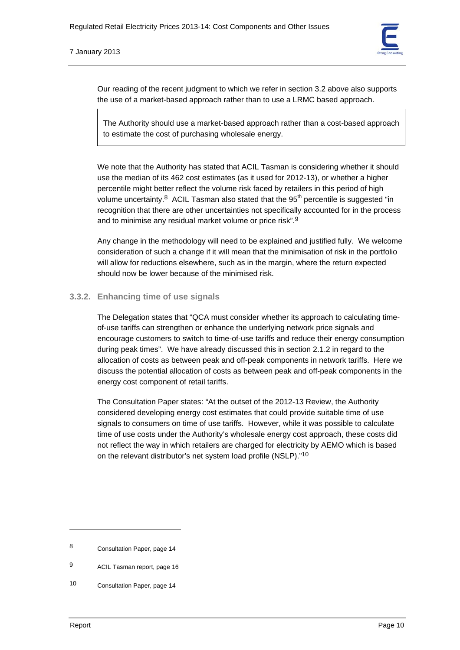

Our reading of the recent judgment to which we refer in section 3.2 above also supports the use of a market-based approach rather than to use a LRMC based approach.

The Authority should use a market-based approach rather than a cost-based approach to estimate the cost of purchasing wholesale energy.

We note that the Authority has stated that ACIL Tasman is considering whether it should use the median of its 462 cost estimates (as it used for 2012-13), or whether a higher percentile might better reflect the volume risk faced by retailers in this period of high volume uncertainty. $8$  ACIL Tasman also stated that the  $95<sup>th</sup>$  percentile is suggested "in recognition that there are other uncertainties not specifically accounted for in the process and to minimise any residual market volume or price risk".9

Any change in the methodology will need to be explained and justified fully. We welcome consideration of such a change if it will mean that the minimisation of risk in the portfolio will allow for reductions elsewhere, such as in the margin, where the return expected should now be lower because of the minimised risk.

# **3.3.2. Enhancing time of use signals**

The Delegation states that "QCA must consider whether its approach to calculating timeof-use tariffs can strengthen or enhance the underlying network price signals and encourage customers to switch to time-of-use tariffs and reduce their energy consumption during peak times". We have already discussed this in section 2.1.2 in regard to the allocation of costs as between peak and off-peak components in network tariffs. Here we discuss the potential allocation of costs as between peak and off-peak components in the energy cost component of retail tariffs.

The Consultation Paper states: "At the outset of the 2012-13 Review, the Authority considered developing energy cost estimates that could provide suitable time of use signals to consumers on time of use tariffs. However, while it was possible to calculate time of use costs under the Authority's wholesale energy cost approach, these costs did not reflect the way in which retailers are charged for electricity by AEMO which is based on the relevant distributor's net system load profile (NSLP)."10

<sup>8</sup> Consultation Paper, page 14

<sup>9</sup> ACIL Tasman report, page 16

<sup>10</sup> Consultation Paper, page 14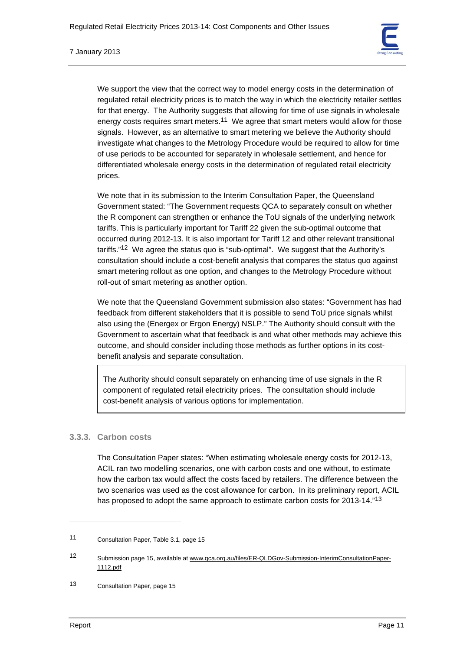

7 January 2013

We support the view that the correct way to model energy costs in the determination of regulated retail electricity prices is to match the way in which the electricity retailer settles for that energy. The Authority suggests that allowing for time of use signals in wholesale energy costs requires smart meters.<sup>11</sup> We agree that smart meters would allow for those signals. However, as an alternative to smart metering we believe the Authority should investigate what changes to the Metrology Procedure would be required to allow for time of use periods to be accounted for separately in wholesale settlement, and hence for differentiated wholesale energy costs in the determination of regulated retail electricity prices.

We note that in its submission to the Interim Consultation Paper, the Queensland Government stated: "The Government requests QCA to separately consult on whether the R component can strengthen or enhance the ToU signals of the underlying network tariffs. This is particularly important for Tariff 22 given the sub-optimal outcome that occurred during 2012-13. It is also important for Tariff 12 and other relevant transitional tariffs."<sup>12</sup> We agree the status quo is "sub-optimal". We suggest that the Authority's consultation should include a cost-benefit analysis that compares the status quo against smart metering rollout as one option, and changes to the Metrology Procedure without roll-out of smart metering as another option.

We note that the Queensland Government submission also states: "Government has had feedback from different stakeholders that it is possible to send ToU price signals whilst also using the (Energex or Ergon Energy) NSLP." The Authority should consult with the Government to ascertain what that feedback is and what other methods may achieve this outcome, and should consider including those methods as further options in its costbenefit analysis and separate consultation.

The Authority should consult separately on enhancing time of use signals in the R component of regulated retail electricity prices. The consultation should include cost-benefit analysis of various options for implementation.

# **3.3.3. Carbon costs**

The Consultation Paper states: "When estimating wholesale energy costs for 2012-13, ACIL ran two modelling scenarios, one with carbon costs and one without, to estimate how the carbon tax would affect the costs faced by retailers. The difference between the two scenarios was used as the cost allowance for carbon. In its preliminary report, ACIL has proposed to adopt the same approach to estimate carbon costs for 2013-14."<sup>13</sup>

<sup>11</sup> Consultation Paper, Table 3.1, page 15

<sup>12</sup> Submission page 15, available at www.qca.org.au/files/ER-QLDGov-Submission-InterimConsultationPaper-1112.pdf

<sup>13</sup> Consultation Paper, page 15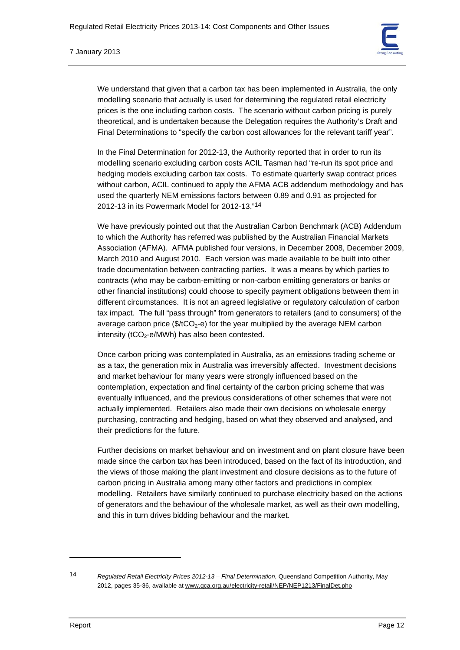#### 7 January 2013

We understand that given that a carbon tax has been implemented in Australia, the only modelling scenario that actually is used for determining the regulated retail electricity prices is the one including carbon costs. The scenario without carbon pricing is purely theoretical, and is undertaken because the Delegation requires the Authority's Draft and Final Determinations to "specify the carbon cost allowances for the relevant tariff year".

In the Final Determination for 2012-13, the Authority reported that in order to run its modelling scenario excluding carbon costs ACIL Tasman had "re-run its spot price and hedging models excluding carbon tax costs. To estimate quarterly swap contract prices without carbon, ACIL continued to apply the AFMA ACB addendum methodology and has used the quarterly NEM emissions factors between 0.89 and 0.91 as projected for 2012-13 in its Powermark Model for 2012-13."14

We have previously pointed out that the Australian Carbon Benchmark (ACB) Addendum to which the Authority has referred was published by the Australian Financial Markets Association (AFMA). AFMA published four versions, in December 2008, December 2009, March 2010 and August 2010. Each version was made available to be built into other trade documentation between contracting parties. It was a means by which parties to contracts (who may be carbon-emitting or non-carbon emitting generators or banks or other financial institutions) could choose to specify payment obligations between them in different circumstances. It is not an agreed legislative or regulatory calculation of carbon tax impact. The full "pass through" from generators to retailers (and to consumers) of the average carbon price ( $\frac{f_2}{c}$ ) for the year multiplied by the average NEM carbon intensity ( $tCO<sub>2</sub>$ -e/MWh) has also been contested.

Once carbon pricing was contemplated in Australia, as an emissions trading scheme or as a tax, the generation mix in Australia was irreversibly affected. Investment decisions and market behaviour for many years were strongly influenced based on the contemplation, expectation and final certainty of the carbon pricing scheme that was eventually influenced, and the previous considerations of other schemes that were not actually implemented. Retailers also made their own decisions on wholesale energy purchasing, contracting and hedging, based on what they observed and analysed, and their predictions for the future.

Further decisions on market behaviour and on investment and on plant closure have been made since the carbon tax has been introduced, based on the fact of its introduction, and the views of those making the plant investment and closure decisions as to the future of carbon pricing in Australia among many other factors and predictions in complex modelling. Retailers have similarly continued to purchase electricity based on the actions of generators and the behaviour of the wholesale market, as well as their own modelling, and this in turn drives bidding behaviour and the market.

<sup>14</sup> *Regulated Retail Electricity Prices 2012-13 – Final Determination*, Queensland Competition Authority, May 2012, pages 35-36, available at www.qca.org.au/electricity-retail/NEP/NEP1213/FinalDet.php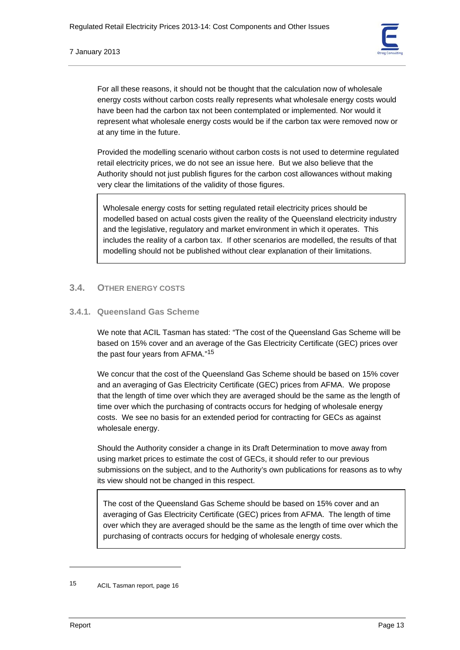

For all these reasons, it should not be thought that the calculation now of wholesale energy costs without carbon costs really represents what wholesale energy costs would have been had the carbon tax not been contemplated or implemented. Nor would it represent what wholesale energy costs would be if the carbon tax were removed now or at any time in the future.

Provided the modelling scenario without carbon costs is not used to determine regulated retail electricity prices, we do not see an issue here. But we also believe that the Authority should not just publish figures for the carbon cost allowances without making very clear the limitations of the validity of those figures.

Wholesale energy costs for setting regulated retail electricity prices should be modelled based on actual costs given the reality of the Queensland electricity industry and the legislative, regulatory and market environment in which it operates. This includes the reality of a carbon tax. If other scenarios are modelled, the results of that modelling should not be published without clear explanation of their limitations.

# **3.4. OTHER ENERGY COSTS**

# **3.4.1. Queensland Gas Scheme**

We note that ACIL Tasman has stated: "The cost of the Queensland Gas Scheme will be based on 15% cover and an average of the Gas Electricity Certificate (GEC) prices over the past four years from AFMA."15

We concur that the cost of the Queensland Gas Scheme should be based on 15% cover and an averaging of Gas Electricity Certificate (GEC) prices from AFMA. We propose that the length of time over which they are averaged should be the same as the length of time over which the purchasing of contracts occurs for hedging of wholesale energy costs. We see no basis for an extended period for contracting for GECs as against wholesale energy.

Should the Authority consider a change in its Draft Determination to move away from using market prices to estimate the cost of GECs, it should refer to our previous submissions on the subject, and to the Authority's own publications for reasons as to why its view should not be changed in this respect.

The cost of the Queensland Gas Scheme should be based on 15% cover and an averaging of Gas Electricity Certificate (GEC) prices from AFMA. The length of time over which they are averaged should be the same as the length of time over which the purchasing of contracts occurs for hedging of wholesale energy costs.

<sup>15</sup> ACIL Tasman report, page 16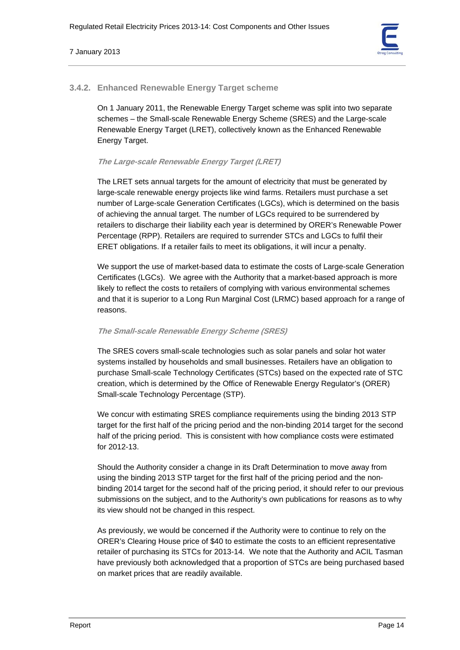

# **3.4.2. Enhanced Renewable Energy Target scheme**

On 1 January 2011, the Renewable Energy Target scheme was split into two separate schemes – the Small-scale Renewable Energy Scheme (SRES) and the Large-scale Renewable Energy Target (LRET), collectively known as the Enhanced Renewable Energy Target.

# **The Large-scale Renewable Energy Target (LRET)**

The LRET sets annual targets for the amount of electricity that must be generated by large-scale renewable energy projects like wind farms. Retailers must purchase a set number of Large-scale Generation Certificates (LGCs), which is determined on the basis of achieving the annual target. The number of LGCs required to be surrendered by retailers to discharge their liability each year is determined by ORER's Renewable Power Percentage (RPP). Retailers are required to surrender STCs and LGCs to fulfil their ERET obligations. If a retailer fails to meet its obligations, it will incur a penalty.

We support the use of market-based data to estimate the costs of Large-scale Generation Certificates (LGCs). We agree with the Authority that a market-based approach is more likely to reflect the costs to retailers of complying with various environmental schemes and that it is superior to a Long Run Marginal Cost (LRMC) based approach for a range of reasons.

# **The Small-scale Renewable Energy Scheme (SRES)**

The SRES covers small-scale technologies such as solar panels and solar hot water systems installed by households and small businesses. Retailers have an obligation to purchase Small-scale Technology Certificates (STCs) based on the expected rate of STC creation, which is determined by the Office of Renewable Energy Regulator's (ORER) Small-scale Technology Percentage (STP).

We concur with estimating SRES compliance requirements using the binding 2013 STP target for the first half of the pricing period and the non-binding 2014 target for the second half of the pricing period. This is consistent with how compliance costs were estimated for 2012-13.

Should the Authority consider a change in its Draft Determination to move away from using the binding 2013 STP target for the first half of the pricing period and the nonbinding 2014 target for the second half of the pricing period, it should refer to our previous submissions on the subject, and to the Authority's own publications for reasons as to why its view should not be changed in this respect.

As previously, we would be concerned if the Authority were to continue to rely on the ORER's Clearing House price of \$40 to estimate the costs to an efficient representative retailer of purchasing its STCs for 2013-14. We note that the Authority and ACIL Tasman have previously both acknowledged that a proportion of STCs are being purchased based on market prices that are readily available.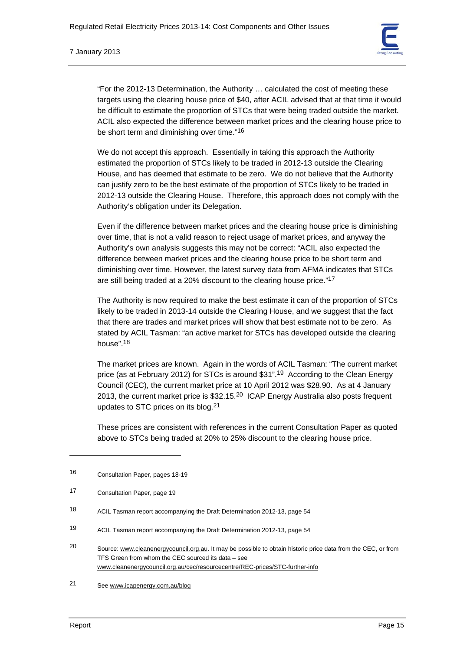

"For the 2012-13 Determination, the Authority … calculated the cost of meeting these targets using the clearing house price of \$40, after ACIL advised that at that time it would be difficult to estimate the proportion of STCs that were being traded outside the market. ACIL also expected the difference between market prices and the clearing house price to be short term and diminishing over time."16

We do not accept this approach. Essentially in taking this approach the Authority estimated the proportion of STCs likely to be traded in 2012-13 outside the Clearing House, and has deemed that estimate to be zero. We do not believe that the Authority can justify zero to be the best estimate of the proportion of STCs likely to be traded in 2012-13 outside the Clearing House. Therefore, this approach does not comply with the Authority's obligation under its Delegation.

Even if the difference between market prices and the clearing house price is diminishing over time, that is not a valid reason to reject usage of market prices, and anyway the Authority's own analysis suggests this may not be correct: "ACIL also expected the difference between market prices and the clearing house price to be short term and diminishing over time. However, the latest survey data from AFMA indicates that STCs are still being traded at a 20% discount to the clearing house price."17

The Authority is now required to make the best estimate it can of the proportion of STCs likely to be traded in 2013-14 outside the Clearing House, and we suggest that the fact that there are trades and market prices will show that best estimate not to be zero. As stated by ACIL Tasman: "an active market for STCs has developed outside the clearing house".18

The market prices are known. Again in the words of ACIL Tasman: "The current market price (as at February 2012) for STCs is around \$31".19 According to the Clean Energy Council (CEC), the current market price at 10 April 2012 was \$28.90. As at 4 January 2013, the current market price is \$32.15.20 ICAP Energy Australia also posts frequent updates to STC prices on its blog.21

These prices are consistent with references in the current Consultation Paper as quoted above to STCs being traded at 20% to 25% discount to the clearing house price.

<sup>16</sup> Consultation Paper, pages 18-19

<sup>17</sup> Consultation Paper, page 19

<sup>18</sup> ACIL Tasman report accompanying the Draft Determination 2012-13, page 54

<sup>19</sup> ACIL Tasman report accompanying the Draft Determination 2012-13, page 54

<sup>20</sup> Source: www.cleanenergycouncil.org.au. It may be possible to obtain historic price data from the CEC, or from TFS Green from whom the CEC sourced its data – see www.cleanenergycouncil.org.au/cec/resourcecentre/REC-prices/STC-further-info

<sup>21</sup> See www.icapenergy.com.au/blog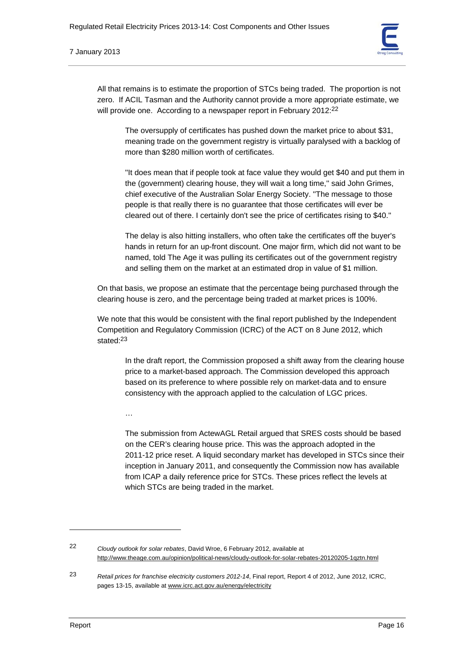

All that remains is to estimate the proportion of STCs being traded. The proportion is not zero. If ACIL Tasman and the Authority cannot provide a more appropriate estimate, we will provide one. According to a newspaper report in February 2012:<sup>22</sup>

The oversupply of certificates has pushed down the market price to about \$31, meaning trade on the government registry is virtually paralysed with a backlog of more than \$280 million worth of certificates.

''It does mean that if people took at face value they would get \$40 and put them in the (government) clearing house, they will wait a long time,'' said John Grimes, chief executive of the Australian Solar Energy Society. ''The message to those people is that really there is no guarantee that those certificates will ever be cleared out of there. I certainly don't see the price of certificates rising to \$40.''

The delay is also hitting installers, who often take the certificates off the buyer's hands in return for an up-front discount. One major firm, which did not want to be named, told The Age it was pulling its certificates out of the government registry and selling them on the market at an estimated drop in value of \$1 million.

On that basis, we propose an estimate that the percentage being purchased through the clearing house is zero, and the percentage being traded at market prices is 100%.

We note that this would be consistent with the final report published by the Independent Competition and Regulatory Commission (ICRC) of the ACT on 8 June 2012, which stated:23

In the draft report, the Commission proposed a shift away from the clearing house price to a market-based approach. The Commission developed this approach based on its preference to where possible rely on market-data and to ensure consistency with the approach applied to the calculation of LGC prices.

…

The submission from ActewAGL Retail argued that SRES costs should be based on the CER's clearing house price. This was the approach adopted in the 2011-12 price reset. A liquid secondary market has developed in STCs since their inception in January 2011, and consequently the Commission now has available from ICAP a daily reference price for STCs. These prices reflect the levels at which STCs are being traded in the market.

22 *Cloudy outlook for solar rebates*, David Wroe, 6 February 2012, available at http://www.theage.com.au/opinion/political-news/cloudy-outlook-for-solar-rebates-20120205-1qztn.html

23 *Retail prices for franchise electricity customers 2012-14*, Final report, Report 4 of 2012, June 2012, ICRC, pages 13-15, available at www.icrc.act.gov.au/energy/electricity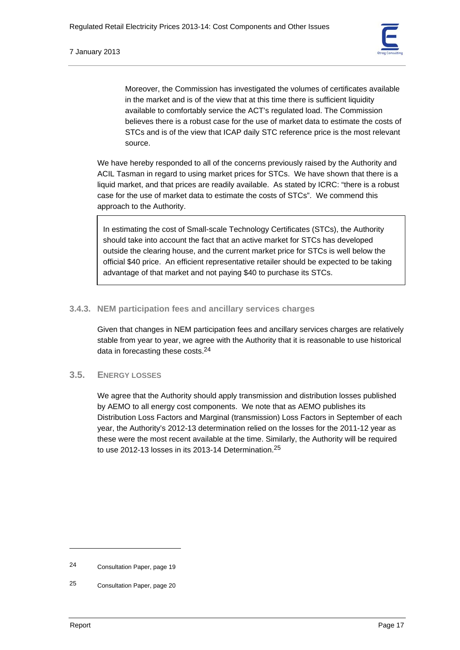Moreover, the Commission has investigated the volumes of certificates available in the market and is of the view that at this time there is sufficient liquidity available to comfortably service the ACT's regulated load. The Commission believes there is a robust case for the use of market data to estimate the costs of STCs and is of the view that ICAP daily STC reference price is the most relevant source.

We have hereby responded to all of the concerns previously raised by the Authority and ACIL Tasman in regard to using market prices for STCs. We have shown that there is a liquid market, and that prices are readily available. As stated by ICRC: "there is a robust case for the use of market data to estimate the costs of STCs". We commend this approach to the Authority.

In estimating the cost of Small-scale Technology Certificates (STCs), the Authority should take into account the fact that an active market for STCs has developed outside the clearing house, and the current market price for STCs is well below the official \$40 price. An efficient representative retailer should be expected to be taking advantage of that market and not paying \$40 to purchase its STCs.

# **3.4.3. NEM participation fees and ancillary services charges**

Given that changes in NEM participation fees and ancillary services charges are relatively stable from year to year, we agree with the Authority that it is reasonable to use historical data in forecasting these costs.24

# **3.5. ENERGY LOSSES**

We agree that the Authority should apply transmission and distribution losses published by AEMO to all energy cost components. We note that as AEMO publishes its Distribution Loss Factors and Marginal (transmission) Loss Factors in September of each year, the Authority's 2012-13 determination relied on the losses for the 2011-12 year as these were the most recent available at the time. Similarly, the Authority will be required to use 2012-13 losses in its 2013-14 Determination.25

<sup>24</sup> Consultation Paper, page 19

<sup>25</sup> Consultation Paper, page 20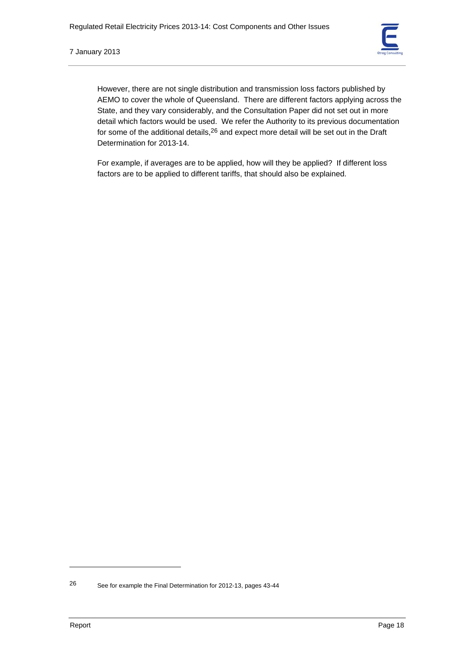However, there are not single distribution and transmission loss factors published by AEMO to cover the whole of Queensland. There are different factors applying across the State, and they vary considerably, and the Consultation Paper did not set out in more detail which factors would be used. We refer the Authority to its previous documentation for some of the additional details,<sup>26</sup> and expect more detail will be set out in the Draft Determination for 2013-14.

For example, if averages are to be applied, how will they be applied? If different loss factors are to be applied to different tariffs, that should also be explained.

<sup>26</sup> See for example the Final Determination for 2012-13, pages 43-44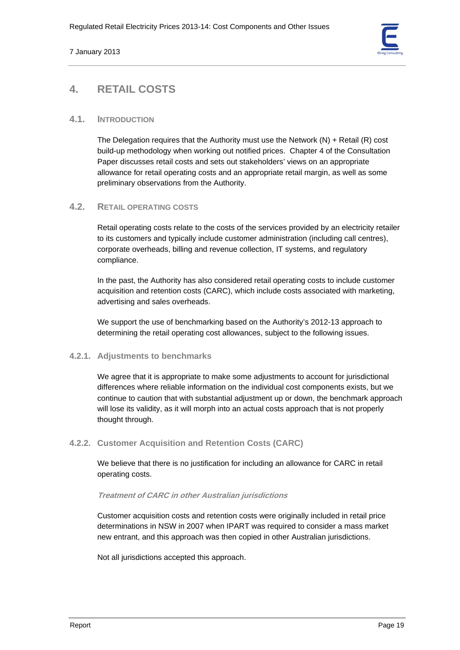

# **4. RETAIL COSTS**

# **4.1. INTRODUCTION**

The Delegation requires that the Authority must use the Network (N) + Retail (R) cost build-up methodology when working out notified prices. Chapter 4 of the Consultation Paper discusses retail costs and sets out stakeholders' views on an appropriate allowance for retail operating costs and an appropriate retail margin, as well as some preliminary observations from the Authority.

# **4.2. RETAIL OPERATING COSTS**

Retail operating costs relate to the costs of the services provided by an electricity retailer to its customers and typically include customer administration (including call centres), corporate overheads, billing and revenue collection, IT systems, and regulatory compliance.

In the past, the Authority has also considered retail operating costs to include customer acquisition and retention costs (CARC), which include costs associated with marketing, advertising and sales overheads.

We support the use of benchmarking based on the Authority's 2012-13 approach to determining the retail operating cost allowances, subject to the following issues.

# **4.2.1. Adjustments to benchmarks**

We agree that it is appropriate to make some adjustments to account for jurisdictional differences where reliable information on the individual cost components exists, but we continue to caution that with substantial adjustment up or down, the benchmark approach will lose its validity, as it will morph into an actual costs approach that is not properly thought through.

# **4.2.2. Customer Acquisition and Retention Costs (CARC)**

We believe that there is no justification for including an allowance for CARC in retail operating costs.

# **Treatment of CARC in other Australian jurisdictions**

Customer acquisition costs and retention costs were originally included in retail price determinations in NSW in 2007 when IPART was required to consider a mass market new entrant, and this approach was then copied in other Australian jurisdictions.

Not all jurisdictions accepted this approach.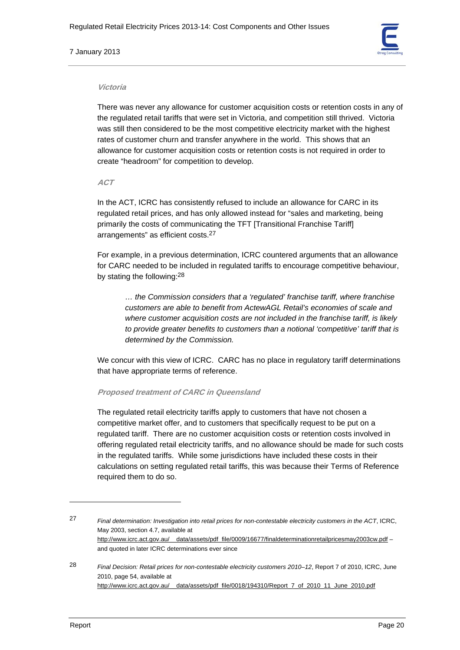#### 7 January 2013



#### **Victoria**

There was never any allowance for customer acquisition costs or retention costs in any of the regulated retail tariffs that were set in Victoria, and competition still thrived. Victoria was still then considered to be the most competitive electricity market with the highest rates of customer churn and transfer anywhere in the world. This shows that an allowance for customer acquisition costs or retention costs is not required in order to create "headroom" for competition to develop.

**ACT** 

In the ACT, ICRC has consistently refused to include an allowance for CARC in its regulated retail prices, and has only allowed instead for "sales and marketing, being primarily the costs of communicating the TFT [Transitional Franchise Tariff] arrangements" as efficient costs.27

For example, in a previous determination, ICRC countered arguments that an allowance for CARC needed to be included in regulated tariffs to encourage competitive behaviour, by stating the following:28

*… the Commission considers that a 'regulated' franchise tariff, where franchise customers are able to benefit from ActewAGL Retail's economies of scale and where customer acquisition costs are not included in the franchise tariff, is likely to provide greater benefits to customers than a notional 'competitive' tariff that is determined by the Commission.* 

We concur with this view of ICRC. CARC has no place in regulatory tariff determinations that have appropriate terms of reference.

#### **Proposed treatment of CARC in Queensland**

The regulated retail electricity tariffs apply to customers that have not chosen a competitive market offer, and to customers that specifically request to be put on a regulated tariff. There are no customer acquisition costs or retention costs involved in offering regulated retail electricity tariffs, and no allowance should be made for such costs in the regulated tariffs. While some jurisdictions have included these costs in their calculations on setting regulated retail tariffs, this was because their Terms of Reference required them to do so.

<sup>27</sup> *Final determination: Investigation into retail prices for non-contestable electricity customers in the ACT*, ICRC, May 2003, section 4.7, available at http://www.icrc.act.gov.au/\_\_data/assets/pdf\_file/0009/16677/finaldeterminationretailpricesmay2003cw.pdf – and quoted in later ICRC determinations ever since

<sup>28</sup> *Final Decision: Retail prices for non-contestable electricity customers 2010–12*, Report 7 of 2010, ICRC, June 2010, page 54, available at http://www.icrc.act.gov.au/\_\_data/assets/pdf\_file/0018/194310/Report\_7\_of\_2010\_11\_June\_2010.pdf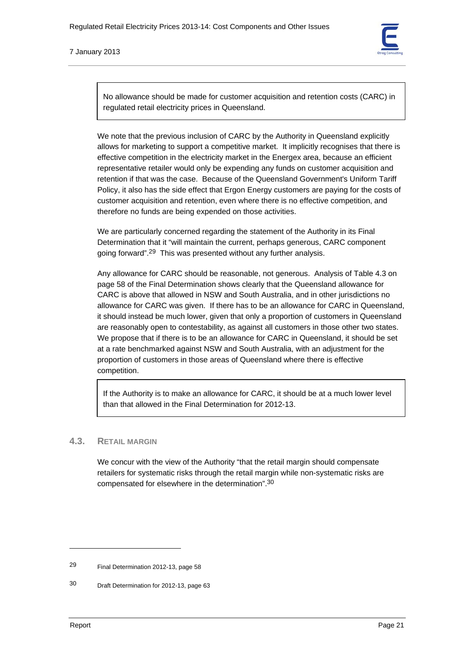No allowance should be made for customer acquisition and retention costs (CARC) in regulated retail electricity prices in Queensland.

We note that the previous inclusion of CARC by the Authority in Queensland explicitly allows for marketing to support a competitive market. It implicitly recognises that there is effective competition in the electricity market in the Energex area, because an efficient representative retailer would only be expending any funds on customer acquisition and retention if that was the case. Because of the Queensland Government's Uniform Tariff Policy, it also has the side effect that Ergon Energy customers are paying for the costs of customer acquisition and retention, even where there is no effective competition, and therefore no funds are being expended on those activities.

We are particularly concerned regarding the statement of the Authority in its Final Determination that it "will maintain the current, perhaps generous, CARC component going forward".29 This was presented without any further analysis.

Any allowance for CARC should be reasonable, not generous. Analysis of Table 4.3 on page 58 of the Final Determination shows clearly that the Queensland allowance for CARC is above that allowed in NSW and South Australia, and in other jurisdictions no allowance for CARC was given. If there has to be an allowance for CARC in Queensland, it should instead be much lower, given that only a proportion of customers in Queensland are reasonably open to contestability, as against all customers in those other two states. We propose that if there is to be an allowance for CARC in Queensland, it should be set at a rate benchmarked against NSW and South Australia, with an adjustment for the proportion of customers in those areas of Queensland where there is effective competition.

If the Authority is to make an allowance for CARC, it should be at a much lower level than that allowed in the Final Determination for 2012-13.

# **4.3. RETAIL MARGIN**

We concur with the view of the Authority "that the retail margin should compensate retailers for systematic risks through the retail margin while non-systematic risks are compensated for elsewhere in the determination".30

<sup>29</sup> Final Determination 2012-13, page 58

<sup>30</sup> Draft Determination for 2012-13, page 63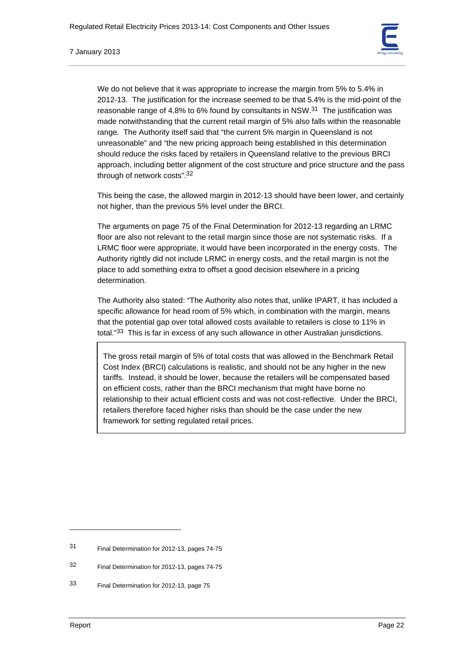

We do not believe that it was appropriate to increase the margin from 5% to 5.4% in 2012-13. The justification for the increase seemed to be that 5.4% is the mid-point of the reasonable range of 4.8% to 6% found by consultants in NSW. $31$  The justification was made notwithstanding that the current retail margin of 5% also falls within the reasonable range. The Authority itself said that "the current 5% margin in Queensland is not unreasonable" and "the new pricing approach being established in this determination should reduce the risks faced by retailers in Queensland relative to the previous BRCI approach, including better alignment of the cost structure and price structure and the pass through of network costs".32

This being the case, the allowed margin in 2012-13 should have been lower, and certainly not higher, than the previous 5% level under the BRCI.

The arguments on page 75 of the Final Determination for 2012-13 regarding an LRMC floor are also not relevant to the retail margin since those are not systematic risks. If a LRMC floor were appropriate, it would have been incorporated in the energy costs. The Authority rightly did not include LRMC in energy costs, and the retail margin is not the place to add something extra to offset a good decision elsewhere in a pricing determination.

The Authority also stated: "The Authority also notes that, unlike IPART, it has included a specific allowance for head room of 5% which, in combination with the margin, means that the potential gap over total allowed costs available to retailers is close to 11% in total."33 This is far in excess of any such allowance in other Australian jurisdictions.

The gross retail margin of 5% of total costs that was allowed in the Benchmark Retail Cost Index (BRCI) calculations is realistic, and should not be any higher in the new tariffs. Instead, it should be lower, because the retailers will be compensated based on efficient costs, rather than the BRCI mechanism that might have borne no relationship to their actual efficient costs and was not cost-reflective. Under the BRCI, retailers therefore faced higher risks than should be the case under the new framework for setting regulated retail prices.

<sup>31</sup> Final Determination for 2012-13, pages 74-75

<sup>32</sup> Final Determination for 2012-13, pages 74-75

<sup>33</sup> Final Determination for 2012-13, page 75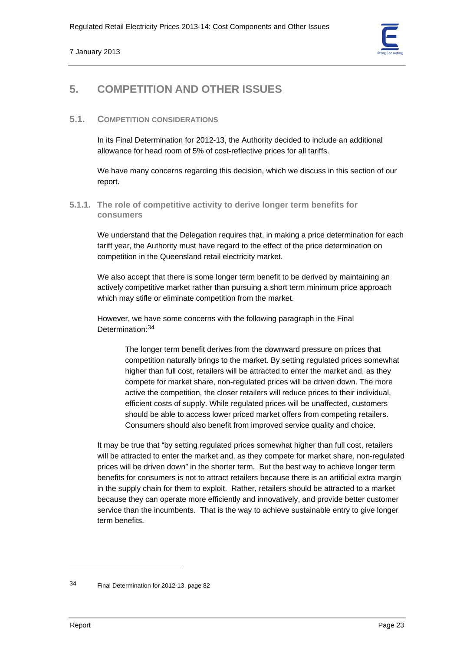

# **5. COMPETITION AND OTHER ISSUES**

# **5.1. COMPETITION CONSIDERATIONS**

In its Final Determination for 2012-13, the Authority decided to include an additional allowance for head room of 5% of cost-reflective prices for all tariffs.

We have many concerns regarding this decision, which we discuss in this section of our report.

# **5.1.1. The role of competitive activity to derive longer term benefits for consumers**

We understand that the Delegation requires that, in making a price determination for each tariff year, the Authority must have regard to the effect of the price determination on competition in the Queensland retail electricity market.

We also accept that there is some longer term benefit to be derived by maintaining an actively competitive market rather than pursuing a short term minimum price approach which may stifle or eliminate competition from the market.

However, we have some concerns with the following paragraph in the Final Determination:34

> The longer term benefit derives from the downward pressure on prices that competition naturally brings to the market. By setting regulated prices somewhat higher than full cost, retailers will be attracted to enter the market and, as they compete for market share, non-regulated prices will be driven down. The more active the competition, the closer retailers will reduce prices to their individual, efficient costs of supply. While regulated prices will be unaffected, customers should be able to access lower priced market offers from competing retailers. Consumers should also benefit from improved service quality and choice.

It may be true that "by setting regulated prices somewhat higher than full cost, retailers will be attracted to enter the market and, as they compete for market share, non-regulated prices will be driven down" in the shorter term. But the best way to achieve longer term benefits for consumers is not to attract retailers because there is an artificial extra margin in the supply chain for them to exploit. Rather, retailers should be attracted to a market because they can operate more efficiently and innovatively, and provide better customer service than the incumbents. That is the way to achieve sustainable entry to give longer term benefits.

<sup>34</sup> Final Determination for 2012-13, page 82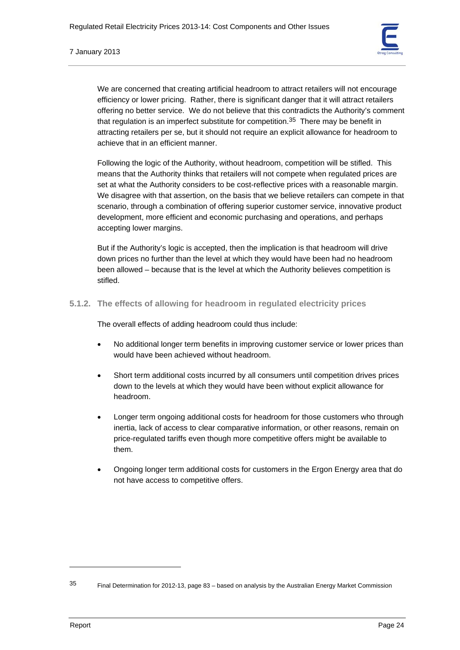

We are concerned that creating artificial headroom to attract retailers will not encourage efficiency or lower pricing. Rather, there is significant danger that it will attract retailers offering no better service. We do not believe that this contradicts the Authority's comment that regulation is an imperfect substitute for competition.<sup>35</sup> There may be benefit in attracting retailers per se, but it should not require an explicit allowance for headroom to achieve that in an efficient manner.

Following the logic of the Authority, without headroom, competition will be stifled. This means that the Authority thinks that retailers will not compete when regulated prices are set at what the Authority considers to be cost-reflective prices with a reasonable margin. We disagree with that assertion, on the basis that we believe retailers can compete in that scenario, through a combination of offering superior customer service, innovative product development, more efficient and economic purchasing and operations, and perhaps accepting lower margins.

But if the Authority's logic is accepted, then the implication is that headroom will drive down prices no further than the level at which they would have been had no headroom been allowed – because that is the level at which the Authority believes competition is stifled.

**5.1.2. The effects of allowing for headroom in regulated electricity prices** 

The overall effects of adding headroom could thus include:

- No additional longer term benefits in improving customer service or lower prices than would have been achieved without headroom.
- Short term additional costs incurred by all consumers until competition drives prices down to the levels at which they would have been without explicit allowance for headroom.
- Longer term ongoing additional costs for headroom for those customers who through inertia, lack of access to clear comparative information, or other reasons, remain on price-regulated tariffs even though more competitive offers might be available to them.
- Ongoing longer term additional costs for customers in the Ergon Energy area that do not have access to competitive offers.

<sup>35</sup> Final Determination for 2012-13, page 83 – based on analysis by the Australian Energy Market Commission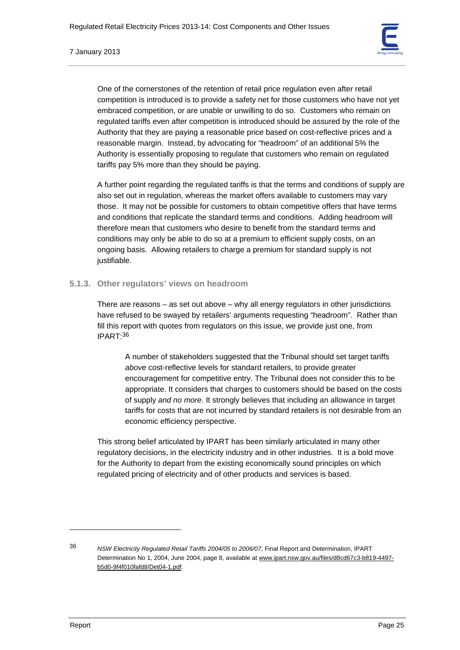

One of the cornerstones of the retention of retail price regulation even after retail competition is introduced is to provide a safety net for those customers who have not yet embraced competition, or are unable or unwilling to do so. Customers who remain on regulated tariffs even after competition is introduced should be assured by the role of the Authority that they are paying a reasonable price based on cost-reflective prices and a reasonable margin. Instead, by advocating for "headroom" of an additional 5% the Authority is essentially proposing to regulate that customers who remain on regulated tariffs pay 5% more than they should be paying.

A further point regarding the regulated tariffs is that the terms and conditions of supply are also set out in regulation, whereas the market offers available to customers may vary those. It may not be possible for customers to obtain competitive offers that have terms and conditions that replicate the standard terms and conditions. Adding headroom will therefore mean that customers who desire to benefit from the standard terms and conditions may only be able to do so at a premium to efficient supply costs, on an ongoing basis. Allowing retailers to charge a premium for standard supply is not justifiable.

# **5.1.3. Other regulators' views on headroom**

There are reasons – as set out above – why all energy regulators in other jurisdictions have refused to be swayed by retailers' arguments requesting "headroom". Rather than fill this report with quotes from regulators on this issue, we provide just one, from IPART:36

A number of stakeholders suggested that the Tribunal should set target tariffs *above* cost-reflective levels for standard retailers, to provide greater encouragement for competitive entry. The Tribunal does not consider this to be appropriate. It considers that charges to customers should be based on the costs of supply *and no more*. It strongly believes that including an allowance in target tariffs for costs that are not incurred by standard retailers is not desirable from an economic efficiency perspective.

This strong belief articulated by IPART has been similarly articulated in many other regulatory decisions, in the electricity industry and in other industries. It is a bold move for the Authority to depart from the existing economically sound principles on which regulated pricing of electricity and of other products and services is based.

<sup>36</sup> *NSW Electricity Regulated Retail Tariffs 2004/05 to 2006/07*, Final Report and Determination, IPART Determination No 1, 2004, June 2004, page 8, available at www.ipart.nsw.gov.au/files/d8cd67c3-b819-4497 b5d0-9f4f010fafd8/Det04-1.pdf.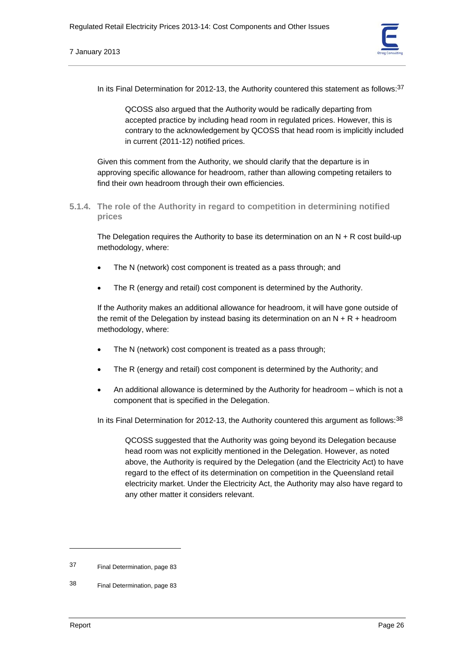

In its Final Determination for 2012-13, the Authority countered this statement as follows: $37$ 

QCOSS also argued that the Authority would be radically departing from accepted practice by including head room in regulated prices. However, this is contrary to the acknowledgement by QCOSS that head room is implicitly included in current (2011-12) notified prices.

Given this comment from the Authority, we should clarify that the departure is in approving specific allowance for headroom, rather than allowing competing retailers to find their own headroom through their own efficiencies.

**5.1.4. The role of the Authority in regard to competition in determining notified prices** 

The Delegation requires the Authority to base its determination on an  $N + R$  cost build-up methodology, where:

- The N (network) cost component is treated as a pass through; and
- The R (energy and retail) cost component is determined by the Authority.

If the Authority makes an additional allowance for headroom, it will have gone outside of the remit of the Delegation by instead basing its determination on an  $N + R +$  headroom methodology, where:

- The N (network) cost component is treated as a pass through;
- The R (energy and retail) cost component is determined by the Authority; and
- An additional allowance is determined by the Authority for headroom which is not a component that is specified in the Delegation.

In its Final Determination for 2012-13, the Authority countered this argument as follows: $38$ 

QCOSS suggested that the Authority was going beyond its Delegation because head room was not explicitly mentioned in the Delegation. However, as noted above, the Authority is required by the Delegation (and the Electricity Act) to have regard to the effect of its determination on competition in the Queensland retail electricity market. Under the Electricity Act, the Authority may also have regard to any other matter it considers relevant.

<sup>37</sup> Final Determination, page 83

<sup>38</sup> Final Determination, page 83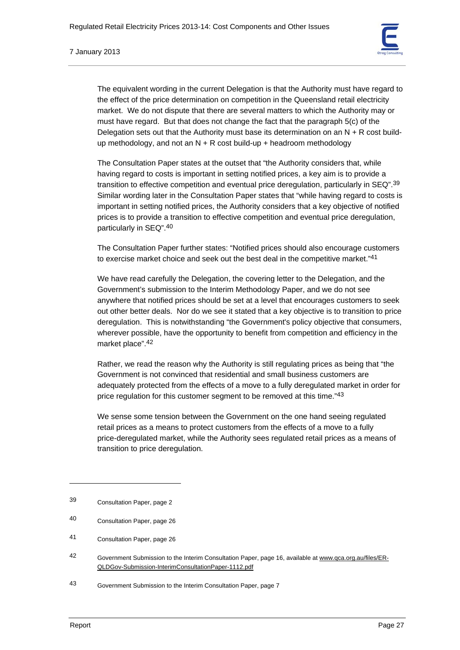

The equivalent wording in the current Delegation is that the Authority must have regard to the effect of the price determination on competition in the Queensland retail electricity market. We do not dispute that there are several matters to which the Authority may or must have regard. But that does not change the fact that the paragraph 5(c) of the Delegation sets out that the Authority must base its determination on an  $N + R$  cost buildup methodology, and not an  $N + R$  cost build-up + headroom methodology

The Consultation Paper states at the outset that "the Authority considers that, while having regard to costs is important in setting notified prices, a key aim is to provide a transition to effective competition and eventual price deregulation, particularly in SEQ".39 Similar wording later in the Consultation Paper states that "while having regard to costs is important in setting notified prices, the Authority considers that a key objective of notified prices is to provide a transition to effective competition and eventual price deregulation, particularly in SEQ".40

The Consultation Paper further states: "Notified prices should also encourage customers to exercise market choice and seek out the best deal in the competitive market."<sup>41</sup>

We have read carefully the Delegation, the covering letter to the Delegation, and the Government's submission to the Interim Methodology Paper, and we do not see anywhere that notified prices should be set at a level that encourages customers to seek out other better deals. Nor do we see it stated that a key objective is to transition to price deregulation. This is notwithstanding "the Government's policy objective that consumers, wherever possible, have the opportunity to benefit from competition and efficiency in the market place".42

Rather, we read the reason why the Authority is still regulating prices as being that "the Government is not convinced that residential and small business customers are adequately protected from the effects of a move to a fully deregulated market in order for price regulation for this customer segment to be removed at this time."43

We sense some tension between the Government on the one hand seeing regulated retail prices as a means to protect customers from the effects of a move to a fully price-deregulated market, while the Authority sees regulated retail prices as a means of transition to price deregulation.

<sup>39</sup> Consultation Paper, page 2

<sup>40</sup> Consultation Paper, page 26

<sup>41</sup> Consultation Paper, page 26

<sup>42</sup> Government Submission to the Interim Consultation Paper, page 16, available at www.qca.org.au/files/ER-QLDGov-Submission-InterimConsultationPaper-1112.pdf

<sup>43</sup> Government Submission to the Interim Consultation Paper, page 7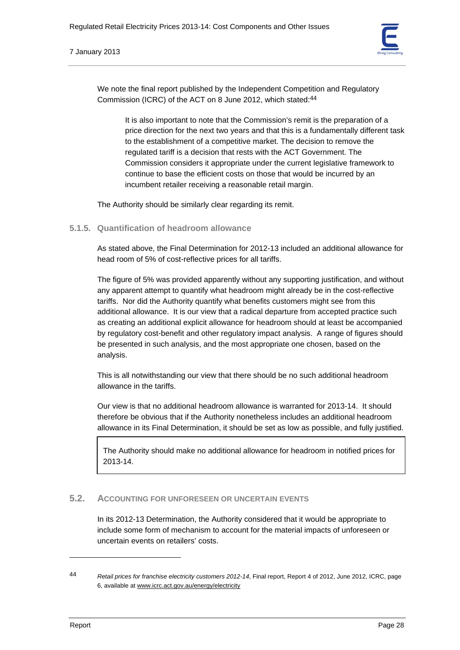

We note the final report published by the Independent Competition and Regulatory Commission (ICRC) of the ACT on 8 June 2012, which stated:44

> It is also important to note that the Commission's remit is the preparation of a price direction for the next two years and that this is a fundamentally different task to the establishment of a competitive market. The decision to remove the regulated tariff is a decision that rests with the ACT Government. The Commission considers it appropriate under the current legislative framework to continue to base the efficient costs on those that would be incurred by an incumbent retailer receiving a reasonable retail margin.

The Authority should be similarly clear regarding its remit.

**5.1.5. Quantification of headroom allowance** 

As stated above, the Final Determination for 2012-13 included an additional allowance for head room of 5% of cost-reflective prices for all tariffs.

The figure of 5% was provided apparently without any supporting justification, and without any apparent attempt to quantify what headroom might already be in the cost-reflective tariffs. Nor did the Authority quantify what benefits customers might see from this additional allowance. It is our view that a radical departure from accepted practice such as creating an additional explicit allowance for headroom should at least be accompanied by regulatory cost-benefit and other regulatory impact analysis. A range of figures should be presented in such analysis, and the most appropriate one chosen, based on the analysis.

This is all notwithstanding our view that there should be no such additional headroom allowance in the tariffs.

Our view is that no additional headroom allowance is warranted for 2013-14. It should therefore be obvious that if the Authority nonetheless includes an additional headroom allowance in its Final Determination, it should be set as low as possible, and fully justified.

The Authority should make no additional allowance for headroom in notified prices for 2013-14.

# **5.2. ACCOUNTING FOR UNFORESEEN OR UNCERTAIN EVENTS**

In its 2012-13 Determination, the Authority considered that it would be appropriate to include some form of mechanism to account for the material impacts of unforeseen or uncertain events on retailers' costs.

<sup>44</sup> *Retail prices for franchise electricity customers 2012-14*, Final report, Report 4 of 2012, June 2012, ICRC, page 6, available at www.icrc.act.gov.au/energy/electricity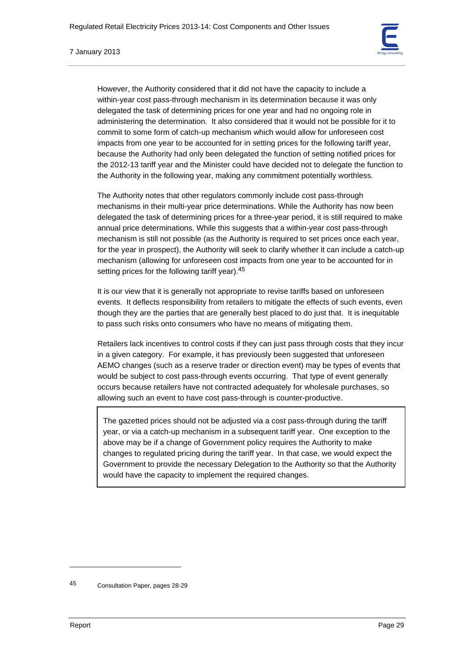

However, the Authority considered that it did not have the capacity to include a within-year cost pass-through mechanism in its determination because it was only delegated the task of determining prices for one year and had no ongoing role in administering the determination. It also considered that it would not be possible for it to commit to some form of catch-up mechanism which would allow for unforeseen cost impacts from one year to be accounted for in setting prices for the following tariff year, because the Authority had only been delegated the function of setting notified prices for the 2012-13 tariff year and the Minister could have decided not to delegate the function to the Authority in the following year, making any commitment potentially worthless.

The Authority notes that other regulators commonly include cost pass-through mechanisms in their multi-year price determinations. While the Authority has now been delegated the task of determining prices for a three-year period, it is still required to make annual price determinations. While this suggests that a within-year cost pass-through mechanism is still not possible (as the Authority is required to set prices once each year, for the year in prospect), the Authority will seek to clarify whether it can include a catch-up mechanism (allowing for unforeseen cost impacts from one year to be accounted for in setting prices for the following tariff year).<sup>45</sup>

It is our view that it is generally not appropriate to revise tariffs based on unforeseen events. It deflects responsibility from retailers to mitigate the effects of such events, even though they are the parties that are generally best placed to do just that. It is inequitable to pass such risks onto consumers who have no means of mitigating them.

Retailers lack incentives to control costs if they can just pass through costs that they incur in a given category. For example, it has previously been suggested that unforeseen AEMO changes (such as a reserve trader or direction event) may be types of events that would be subject to cost pass-through events occurring. That type of event generally occurs because retailers have not contracted adequately for wholesale purchases, so allowing such an event to have cost pass-through is counter-productive.

The gazetted prices should not be adjusted via a cost pass-through during the tariff year, or via a catch-up mechanism in a subsequent tariff year. One exception to the above may be if a change of Government policy requires the Authority to make changes to regulated pricing during the tariff year. In that case, we would expect the Government to provide the necessary Delegation to the Authority so that the Authority would have the capacity to implement the required changes.

<sup>45</sup> Consultation Paper, pages 28-29